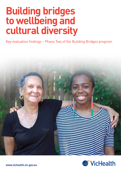# **Building bridges to wellbeing and cultural diversity**

Key evaluation findings – Phase Two of the Building Bridges program



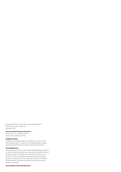© Copyright Victorian Health Promotion Foundation 2013 Publication number: P-MW-135 December 2013

#### **Victorian Health Promotion Foundation**

Ground Floor, 15–31 Pelham Street Carlton, Victoria 3053, Australia

#### **Suggested citation**

VicHealth 2013, *Building bridges to wellbeing and cultural diversity, Key evaluation findings – Phase Two of the Building Bridges program*, Victorian Health Promotion Foundation, Melbourne, Australia.

#### **Acknowledgements**

The evaluation of Phase Two of VicHealth's Building Bridges program, on which this summary draws, was conducted by Associate Professor Margaret Kelaher of the Centre for Health Policy, Programs and Economics, School of Population and Global Health, University of Melbourne, with assistance from Associate Professor Yin Paradies, Dr Deborah Warr, Ms Angeline Ferdinand, Ms Teneha Greco and Ms Kaitlin Lauirdsen.

#### **www.vichealth.vic.gov.au/Publications**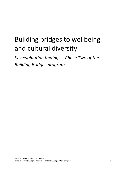# Building bridges to wellbeing and cultural diversity

*Key evaluation findings – Phase Two of the Building Bridges program*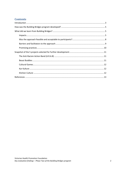# **Contents**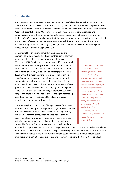## <span id="page-4-0"></span>**Introduction**

Most new arrivals to Australia ultimately settle very successfully and do as well, if not better, than the Australian born on key indicators such as earnings and educational attainment (Jupp et al. 2007). However, new arrivals may be especially vulnerable to mental health problems in their early years in Australia (Porter & Haslam 2005). For people who have come to Australia as refugee and humanitarian entrants this may be partly due to experiences of war and trauma prior to arrival (Pedersen 2002). However, studies show that the most important influences on the mental health of migrants and refugees are their experiences *after* arrival. That is, in the process of settling into education and jobs, securing housing, adjusting to a new culture and systems and making new friends (Porter & Haslam 2005; Blanch 2008).

Many mental health experts agree that adverse social and economic conditions make a significant contribution to common mental health problems, such as anxiety and depression (VicHealth 2007). Two factors that particularly affect the mental health of new arrivals are exposure to race-based discrimination (Ferdinand et al. 2013) and limited connections to social networks and systems, eg schools, clubs and workplaces (Ager & Strang 2008). While it is important for new arrivals to link with 'likeethnic' communities, connections with members of the wider community and mainstream organisations are also critical for mental health (Berry 1997). These connections between different groups are sometimes referred to as 'bridging capital' (Ager & Strang 2008). VicHealth's Building Bridges program was a pilot designed to improve mental health and wellbeing by addressing both these factors. That is, it aimed to reduce race-based prejudice and strengthen bridging capital.

There is a long history in Victoria of bringing people from many different cultural backgrounds together through festivals, food and artistic and cultural pursuits. These activities are supported by communities across Victoria, often with assistance through government funding programs. They play an important role in Victoria's continuing success as a harmonious multicultural society. The Building Bridges program sought to build on these

*In recognition of the growing human, economic and community costs associated with mental ill health, VicHealth identified mental health as a priority in 1999 and established a program for the development of activity relevant to the promotion of mental wellbeing. Improving mental wellbeing remains a strategic imperative of the organisation. We continue to work to build the right foundations for mental wellbeing – long before illness – in our homes, communities and workplaces.*

activities by supporting more sustained and deeper forms of contact. This was on the basis of a large international analysis of 203 projects, involving over 90,000 participants between them. This analysis showed that sustained forms of intercultural contact could be effective in reducing race-based prejudice, providing that contact took place under certain conditions (Pettigrew & Tropp 2006).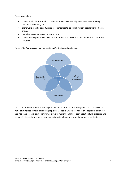These were when:

- contact took place around a collaborative activity where all participants were working towards a common goal
- there were specific opportunities for friendships to be built between people from different groups
- participants were engaged on equal terms
- contact was supported by relevant authorities, and the contact environment was safe and inclusive.



**Figure 1: The four key conditions required for effective intercultural contact**

<span id="page-5-0"></span>These are often referred to as the Allport conditions, after the psychologist who first proposed the value of sustained contact to reduce prejudice. VicHealth was interested in this approach because it also had the potential to support new arrivals to make friendships, learn about cultural practices and systems in Australia, and build their connections to schools and other important organisations.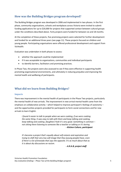# **How was the Building Bridges program developed?**

The Building Bridges program was developed in 2006 and implemented in two phases. In the first phase, community organisations, schools and workplaces across Victoria were invited to submit funding applications for up to \$20,000 for projects that supported contact between cultural groups under the conditions described above. Forty projects were funded for between six and 18 months.

At the completion of these projects, five promising projects were selected for further development and funded for an additional three years (see page 11). These projects focused on children and young people. Participating organisations were offered professional development and support from VicHealth.

Evaluation was undertaken in both phases to assess:

- whether the approach could be implemented
- if it was acceptable to organisations, communities and individual participants
- to identify barriers, facilitators and promising practices.

In Phase Two, the projects were also assessed to see if they were effective in supporting health promoting organisational environments, and ultimately in reducing prejudice and improving the mental health and wellbeing of participants.

# <span id="page-6-0"></span>**What did we learn from Building Bridges?**

#### <span id="page-6-1"></span>**Impacts**

There was improvement in the mental health of participants in the Phase Two projects, particularly the mental health of new arrivals. The improvement in new arrival mental health came from the emphasis on collaborative activity – which helped to improve participant's feelings of autonomy – and the opportunities projects provided for participants to form social connections and for new arrivals to learn English.

*I found it easier to talk to people when we were cooking, if we were cooking the same thing. It was easy to talk with them and keep talking and cooking, keep talking and cooking. [laughter] Yeah it's very good. Something in common – not sitting there listening to someone like a teacher or talking or it's boring. - Kitchen Culture, participant*

*It's become a project that's equally about self-esteem and aspiration and trying to shift that very low self-image that they [young people] have, even if there's a lot of bravado that says the opposite. It's as much about that as it is about dry discussions on racism.*

*- A.R.A.B, project staff*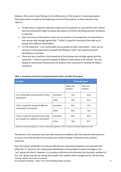However, there were mixed findings on the effectiveness of the projects in reducing prejudice. Participants were surveyed at the beginning and end of the projects on three measures (see Table 1).

- At both points, responses indicated a high level of acceptance of, and comfort with cultural diversity among both Anglo-European participants and those identifying another birthplace or ethnicity.
- Over the course of the projects, there was an increase in the proportion of respondents in both groups who strongly agreed that: "I think it is good for Australia to be made up of people from different nationalities".
- For the statement: "I am comfortable around people of other nationalities", there was an increase in strong agreement by people identifying as 'other' but a decline by those identifying as Australian.
- There was also a decline in the proportion of both groups who strongly agreed with the statement: "I think it is good for people of different nationalities to be friends". This was despite an assessment showing that the projects were successful in meeting the Allport conditions.

| <b>Variables</b>                                                                                      |            | % strongly agree       |                       |
|-------------------------------------------------------------------------------------------------------|------------|------------------------|-----------------------|
|                                                                                                       |            | Before the<br>projects | After the<br>projects |
| I am comfortable around people of other<br>nationalities <sup>1</sup>                                 | Australian | 76.3                   | 65.8                  |
|                                                                                                       | Other      | 59.9                   | 63.4                  |
| I think it is good for people of different<br>nationalities to be friends <sup>2</sup>                | Australian | 93.1                   | 72.5                  |
|                                                                                                       | Other      | 80.0                   | 76.4                  |
| I think it is good for Australia to be made<br>up of people from different nationalities <sup>3</sup> | Australian | 80.9                   | 83.9                  |
|                                                                                                       | Other      | 70.6                   | 81.7                  |
|                                                                                                       |            |                        |                       |

#### **Table 1: Acceptance of diversity among participants before and after the projects**

1. Result not statistically significant. 2. Result is statistically significant ≤ 0.01. 3. Result is statistically significant ≤ 0.053.

The decline in the measures may have been because of problems with the measures themselves or to factors occurring outside of the projects, eg: media coverage of diversity issues, parents' responses.

Victorian Health Promotion Foundation Also, the analysis undertaken to evaluate effectiveness required participants to be allocated into either the "in" group (in this study people identifying as having Anglo-European heritage) or the "out" group (all others). However, in a complex multicultural environment like Australia, members of the "out'' group may also be mixing with people from another ethnic background for the first time

*Key evaluation findings – Phase Two of the Building Bridges program* 6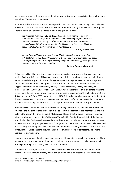(eg, in several projects there were recent arrivals from Africa, as well as participants from the more established Vietnamese community).

Another possible explanation is that the projects by their nature took positive steps to include new arrivals and this may have been the cause of some resentment among Australian-born participants. There is, however, very little evidence of this in the qualitative data.

*You're saying, 'Come on, let's do it together.' So even if there's conflict or competition, it still brings them together. I think they really respond, because they are interested in turning up after school. But there's also unexpected connections and that's what's fantastic. The kids have embraced the kids from the specialist schools a lot more than we had thought.*

#### **- A.R.A.B, project staff**

*We got involved because we wanted our kids to mix with mainstream school kids – kids that they wouldn't usually associate with. To have that experience on an equal sort of footing so they're doing something enjoyable together (…) just to give them the opportunity to be more confident.*

#### **- Cultural Games, school staff**

A final possibility is that negative changes in views are part of the process of learning about the reality of cultural difference. This process involves people learning about themselves as individuals with a cultural identity and, for those of Anglo-European heritage, as having some privilege as a consequence of their ethnic background. This explanation is supported by other research that suggests that intercultural contact may initially result in discomfort, anxiety and even guilt (Branscombe et al. 2007; Lowerey et al. 2007). However, in the longer term this ultimately leads to greater consideration of out-group members and a deeper engagement with multiculturalism (Fehr & Sassenberg 2010; Case 2007; Monteith et al. 2010). This explanation is supported by the fact that the decline occurred on measures concerned with personal comfort with diversity, but not on the one measure assessing the more abstract concept of the ethnic makeup of society as a whole.

A similar decline was found in another Australian study (Pedersen 2010). The findings of both this study and the Building Bridges evaluation must be seen in the context of the international analysis (referred to above) that drew on over 200 studies and found that the overall impact of sustained intercultural contact was positive (Pettigrew & Tropp 2006). That is, it is possible that the findings from the Building Bridges evaluation and the study reported by Pedersen are exceptions. However, on balance the Building Bridges evaluation findings suggest that some caution needs to be exercised in consciously promoting sustained contact where it does not currently exist solely for the purposes of reducing prejudice. In some circumstances, more transient forms of contact may be a more appropriate starting point.

However, the approach does have positive mental health benefits, especially for new arrivals. These appear to be due in large part to the Allport conditions, ie: the emphasis on collaborative activity, forming friendships and building an inclusive environment.

Moreover, in a society such as Australia in which cultural diversity is a fact of life, intercultural contact is a natural feature of many day-to-day environments such as schools, workplaces and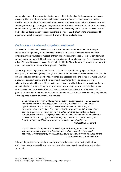community venues. The international evidence on which the Building Bridges program was based provides guidance on the steps that can be taken to ensure that this contact occurs in the best possible conditions. These include maximising the opportunities for people from different groups to come together on equal terms, providing opportunities for them to collaborate and form friendships with one another, and ensuring that environments are welcoming and inclusive. The evaluation of the Building Bridges program suggests that there is a need in such situations to anticipate and be prepared for possible changes in sentiment toward intercultural relations.

#### <span id="page-9-0"></span>**Was the approach feasible and acceptable to participants?**

The evaluation shows that conscious, careful effort and time are required to meet the Allport conditions. Although many of the Phase One projects were successful in meeting some of the conditions, others struggled to meet all of them. In particular, many used more transitory forms of contact, and some found it difficult to secure participation of both longer-term Australians and new arrivals. The conditions were successfully established in the Phase Two projects, suggesting that with time, planning and commitment the approach is feasible.

The participants and agencies found the approach very acceptable. Many agencies felt that participating in the Building Bridges program enabled them to develop a direction they were already committed to. For participants, the Allport conditions appeared to be the things that made activities attractive. They identified getting the chance to choose things they liked doing, working collaboratively and making new friends as the main things they liked about the projects. While there was some initial resistance from parents in some of the projects, this resolved over time. Many parents welcomed the projects. They had been concerned about the distance between cultural groups in their communities and appreciated the opportunities offered to children and young people to develop skills in communicating across cultures.

*What I notice is that there's a bit of a divide between Anglo parents or Syrian parents and African parents on the playground. I see that quite obviously. I think there's different reasons why that is, why conversations don't come so naturally with the parents. It does with the children, but not with the parents, and that comes from our own experience. It comes from what another parent said about English being a major factor. I've had this myself, where I haven't felt confident about how to initiate a conversation. Am I trying just because they're from another country? What if their English isn't any good? I don't want to embarrass them or offend them.* 

#### **- Cultural Games, parent**

*It gives me a lot of confidence to deal with different kinds of parents and I'm not scared to approach anyone now. I'm more approachable now. And I've gained the ability to meet different parents. And it gives me a positive mother, a positive parent.*  **- Cultural Games, parent facilitator** 

Although the projects were clearly valued by new arrivals as a means of mixing with other Australians, the projects seeking to increase contact between minority ethnic groups were less successful.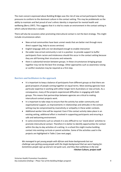The main concern expressed about Building Bridges was the risk of new arrival participants feeling pressures to conform to the dominant culture in the contact setting. This may be problematic as the ability to maintain and feel proud of one's ethnic identity is important for mental health and wellbeing (Berry 1997). This suggests that it is vital to create an environment in the contact setting in which cultural diversity is valued.

There will also be occasions when promoting intercultural contact is not the best strategy. This might include circumstances when:

- New-arrival communities have basic unmet needs that are better met through more direct support (eg, help to access services)
- English-language skills are not developed enough to enable interaction
- the wider new arrival community is not in a position to provide support to buffer participants from racism and intolerance should this occur in the contact setting because they are still forming their structures and networks
- there is substantial tension between groups. In these circumstances bringing groups together may not be the best first strategy. Other approaches such as awareness raising or conflict resolution may be required as a first step.

#### <span id="page-10-0"></span>**Barriers and facilitators to the approach**

- It is important to keep a balance of participants from different groups so that there are good prospects of people coming together on equal terms. Most existing agencies have particular expertise in working with either longer-term Australians or new arrivals. As a consequence, many of the projects experienced difficulties in engaging with both groups. This means that partnerships between agencies are critical to making intercultural contact projects work.
- It is important to take steps to ensure that the activity has wider community and organisational support, as improvements in relationships and attitudes in the contact setting may be compromised by insensitivity or antipathy in these wider contexts.
- Additional worker time will be required. Even if the contact activity takes place in an existing setting, additional effort is involved in supporting participants and ensuring a safe and welcoming environment.
- In some environments such as schools it is very difficult to run 'stand-alone' activities to promote intercultural contact. Therefore it is better to identify opportunities for contact within the day-to-day activities of a setting. In a school this might involve building contact into existing curricula or parent activities. Some of the activities used in the projects are highlighted in Table 2 (see next page).

*We managed to get young people with African and Asian backgrounds but our challenge was getting young people with the Anglo background that we were hoping for. Sometimes people sign up and are not quite sure, and they then withdraw in the end.* **- Kitchen Culture, project staff**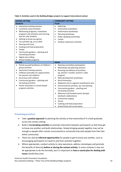**Table 2: Activities used in the Building Bridges projects to support intercultural contact**

| <b>SCHOOL SETTING</b>                                                                                                                                                                                                                                                                                                                                                                                                     | <b>COMMUNITY SETTING</b>                                                                                                                                                                                                                                                                                                                                                                                                                                                                                                                                                                                                                                                                  |  |  |
|---------------------------------------------------------------------------------------------------------------------------------------------------------------------------------------------------------------------------------------------------------------------------------------------------------------------------------------------------------------------------------------------------------------------------|-------------------------------------------------------------------------------------------------------------------------------------------------------------------------------------------------------------------------------------------------------------------------------------------------------------------------------------------------------------------------------------------------------------------------------------------------------------------------------------------------------------------------------------------------------------------------------------------------------------------------------------------------------------------------------------------|--|--|
| <b>Students</b>                                                                                                                                                                                                                                                                                                                                                                                                           | Youth                                                                                                                                                                                                                                                                                                                                                                                                                                                                                                                                                                                                                                                                                     |  |  |
| Interactive training sessions<br>٠<br>Lunchtime social activities<br>Welcoming programs, orientation<br>programs and activities and morning<br>teas for new students<br>Getting-to-know you games<br>Fun activities eg, circus skills<br>٠<br>Dancing and music<br>Cooking and food preparation<br>Camps<br>Community gardens - planting and<br>harvesting activities<br>Digital story telling<br>School holiday programs | Field trips<br>$\bullet$<br>Community orientation<br>$\bullet$<br>Performance workshops<br>$\bullet$<br>Planning workshops<br>$\bullet$<br>Public speaking workshops<br>$\bullet$<br>Camps<br>Outdoor adventure activities                                                                                                                                                                                                                                                                                                                                                                                                                                                                |  |  |
| <b>Parents</b>                                                                                                                                                                                                                                                                                                                                                                                                            | <b>Adults</b>                                                                                                                                                                                                                                                                                                                                                                                                                                                                                                                                                                                                                                                                             |  |  |
| Paired-up paid facilitators of children's<br>$\bullet$<br>group activities<br>Interactive training sessions<br>٠<br>Childcare (provides ICC opportunities<br>for parents and children)<br>Excursions with children<br>Community gardens - planting and<br>harvesting activities<br>Parent volunteers in school-based<br>program activities                                                                                | Steering committee participation<br>$\bullet$<br>Workshops and planning sessions<br>$\bullet$<br>Planning and delivery of activities,<br>$\bullet$<br>eg: women's market, women's radio<br>program<br>Skills development workshops<br>$\bullet$<br>Rural homestays<br>$\bullet$<br>Weekend visit to regional resettlement area<br>$\bullet$<br>Environmental activities, eg: tree planting<br>$\bullet$<br>Community gardens - planting and<br>$\bullet$<br>harvesting activities<br>Welcome and farewell events (project<br>$\bullet$<br>landmark celebrations)<br>Community singing<br>$\bullet$<br>Soccer<br>$\bullet$<br>Cooking and food preparation<br>Shared food and conversation |  |  |

#### <span id="page-11-0"></span>**Promising practices**

- Take a **gradual approach** to planning the activity so that ownership of it is built gradually across the contact setting.
- Build in **ice-breaking activities** to promote interaction between participants so that they get to know one another and build relationships. Simply bringing people together may not be enough as people often remain unconnected or connected only with people from their likeethnic community.
- There can also be **informal opportunities** for people to get to know one another, such as encouraging participants to travel to and from activities together.
- Where appropriate, conduct activity to raise awareness, address stereotypes and promote the benefits of diversity **before or during the contact activity**. In some contexts it may not be appropriate to do this formally, but it is important to **have a sound plan for dealing with issues** should they arise.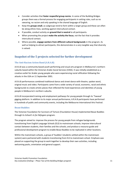- Consider activities that **foster respectful group norms**. In some of the Building Bridges groups there was a formal process for engaging participants in setting rules, such as no swearing, no racism and only speaking in the shared language of English.
- Keep the **groups small**, as subgroups tend to form within a larger group and these can often be along ethnic lines, working against intercultural contact.
- If possible, conduct activity on **ground that is neutral** to all participants.
- When promoting the project **make the activity the focus**, not the fact that it provides intercultural contact.
- Where possible, **engage workers from different cultural backgrounds** in the program. As well as helping to attract participants, this demonstrates in a very tangible way that diversity is valued.

# <span id="page-12-0"></span>**Snapshot of the 5 projects selected for further development**

#### <span id="page-12-1"></span>**The Anti-Racism Action Band (A.R.A.B)**

A.R.A.B was a community-based youth performing and visual arts program in Melbourne's northern suburbs based within the Victorian Arabic Social Services (VASS). It was initially established as a creative outlet for Arabic young people who were experiencing racial vilification following the attacks in the USA on 11 September 2001.

A.R.A.B performances combined traditional dance and street dance with theatre, spoken word, original music and video. Participants came from a wide variety of social, economic, racial and ethnic backgrounds to create artistic pieces that reflected the lived experiences and identities of young people in Melbourne's northern suburbs.

A.R.A.B incorporated training and employment pathways for young people through its 'Tawasal' gigging platform. In addition to its major annual performance, A.R.A.B participants have performed in hundreds of public and community events, including the Melbourne International Arts Festival.

#### <span id="page-12-2"></span>**Beaut Buddies**

The Victorian Foundation for Survivors of Torture (Foundation House) implemented Beaut Buddies through its *School's In for Refugees* program.

The program aimed to: improve the process for young people from refugee backgrounds transitioning from English Language Schools (ELS) to mainstream schools; improve intercultural contact between students, their families and the schools; and produce a resource guide and professional development program to enable Beaut Buddies to be replicated in other locations.

Within the mainstream schools, a group of 'buddies' (students settled within the mainstream system) were partnered with students transitioning from ELS to mainstream school. Emphasis was placed on supporting the group to work together to develop their own activities, including welcoming packs, orientation and general support.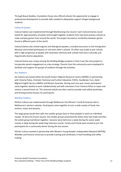Through Beaut Buddies, Foundation House also offered schools the opportunity to engage in professional development to provide skills needed to adequately support refugee background students.

#### <span id="page-13-0"></span>**Cultural Games**

Cultural Games was implemented through Maribrynong City Council. Each Cultural Games round lasted for approximately 10 weeks and brought together students from two local primary schools to make and play games from around the world. The project focused on similarities between games found in different parts of the world.

Cultural Games also invited migrant and Aboriginal speakers, included excursions to the Immigration Museum and invited participants to visit each other's schools. An effort was made to pair schools with a high proportion of people with Australian ethnicity with schools that had a culturally and linguistically diverse population.

Cultural Games was unique among the Building Bridges projects in that it was the only project to incorporate parent engagement as a key strategy. Parents from the community were employed to facilitate and support the groups of students through the activities.

#### <span id="page-13-1"></span>**Kar Kulture**

Kar Kulture was based within the South Eastern Migrant Resource Centre (SEMRC) in partnership with Victoria Police, Chisholm Technical and Further Education (TAFE), Handbrake Turn, Adult Migrant English Service (AMES) and Mission Australia. During each one-year round, participants came together weekly to work collaboratively and with volunteers from Victoria Police to repair and restore a second-hand car. The restored vehicle was then used to provide road safety workshops and driving practice lessons for participants.

#### <span id="page-13-2"></span>**Kitchen Culture**

Kitchen Culture was implemented through Melbourne City Mission's Youth Enterprise Hub in Melbourne's western suburbs. Participants came together to turn a wide variety of foods into entrees, mains and desserts.

The large group would then split into smaller groups (two or three people) to work on individual recipes. At the end of each session, the smaller groups presented the dishes they had made and then the whole group had dinner together. Sessions were held once a week during the seven-week rounds or daily during the week-long intensive rounds. Family and friends were invited to join the participants for a community dinner during the last session.

<span id="page-13-3"></span>Kitchen Culture worked in partnership with Western Young People's Independent Network (WYPIN), WestNet and Victoria University to provide training and certificates in food handling and coffee making.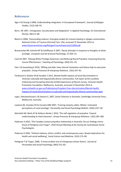### **References**

- Ager A & Strang A 2008, Understanding Integration: A Conceptual Framework', *Journal of Refugee Studies,* 21(2):166–91.
- Berry JW 1997, 'Immigration, Acculturation and Adaptation' in *Applied Psychology: An International Review*, 46(1):5–68.
- Blanch A 2008, *Transcending violence: Emerging models for trauma healing in refugee communities*, National Center of Trauma Informed Care, USA, accessed 15 November 2013 at [www.theannainstitute.org/RefugeeTraumaPaperJuly212008.pdf](http://www.theannainstitute.org/RefugeeTraumaPaperJuly212008.pdf)
- Branscombe NR, Schmitt MT & Schiffhauer K 2007, 'Racial attitudes in response to thoughts of white privilege', *European Journal of Social Psychology*, 37:203–15.
- Case KA 2007, 'Raising White Privilege Awareness and Reducing Racial Prejudice: Assessing Diversity Course Effectiveness', *Teaching of Psychology*, 34(4):231–35.
- Fehr J & Sassenberg K 2010, 'Willing and able: How internal motivation and failure help to overcome prejudice', *Group Processes & Intergroup Relations*, 13(2):167–81.
- Ferdinand A, Kelaher M & Paradies Y 2013, *Mental health impacts of racial discrimination in Victorian culturally and linguistically diverse communities, Full report of the Localities Embracing and Accepting Diversity (LEAD) Experiences of Racism Survey,* Victorian Health Promotion Foundation, Melbourne, Australia, accessed 15 November 2013 at [www.vichealth.vic.gov.au/Publications/Freedom-from-discrimination/Mental-health](http://www.vichealth.vic.gov.au/Publications/Freedom-from-discrimination/Mental-health-impacts-of-racial-discrimination-in-culturally-and-linguistically-diverse-communities.aspx)[impacts-of-racial-discrimination-in-culturally-and-linguistically-diverse-communities.aspx](http://www.vichealth.vic.gov.au/Publications/Freedom-from-discrimination/Mental-health-impacts-of-racial-discrimination-in-culturally-and-linguistically-diverse-communities.aspx)
- Jupp J, Nieuwenhuysen J & Dawson E, 2007, *Social Cohesion in Australia*, Cambridge University Press, Melbourne, Australia.
- Lowerey BS, Knowles ED & Unzueta MM 2007, 'Framing inequity safely: Whites' motivated perceptions of racial privilege', *Personality and Social Psychology Bulletin*, 33(9):1237–50.
- Monteith MJ, Mark AY & Ashburn-Nardo L 2010, 'The self-regulation of prejudice: Toward understanding its lived character', *Group Processes & Intergroup Relations,* 13(2):183–200.
- Pedersen A 2010, 'The Complex contact-prejudice relationship in Australia: Do our findings mirror those of Pettigrew and Tropp?', *2010 Annual Meeting of the Society for Australasian Social Psychologists.*
- Pedersen D 2002, 'Political violence, ethnic conflict, and contemporary wars. Broad implications for health and social wellbeing', *Social Science and Medicine*, 55(2):175–90.
- Pettigrew T & Tropp L 2006, 'A meta-analytic test of intergroup contact theory', *Journal of Personality and Social* Psychology, 90(5):751–83.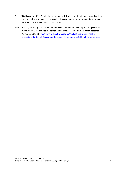- Porter M & Haslam N 2005, 'Pre-displacement and post-displacement factors associated with the mental health of refugees and internally displaced persons: A meta-analysis', *Journal of the American Medical Association*, 294(5):602–12.
- VicHealth 2007, *Burden of disease due to mental illness and mental health problems (Research summary 1)*, Victorian Health Promotion Foundation, Melbourne, Australia, accessed 15 November 2013 at [http://www.vichealth.vic.gov.au/Publications/Mental-health](http://www.vichealth.vic.gov.au/Publications/Mental-health-promotion/Burden-of-Disease-due-to-mental-illness-and-mental-health-problems.aspx)[promotion/Burden-of-Disease-due-to-mental-illness-and-mental-health-problems.aspx](http://www.vichealth.vic.gov.au/Publications/Mental-health-promotion/Burden-of-Disease-due-to-mental-illness-and-mental-health-problems.aspx)